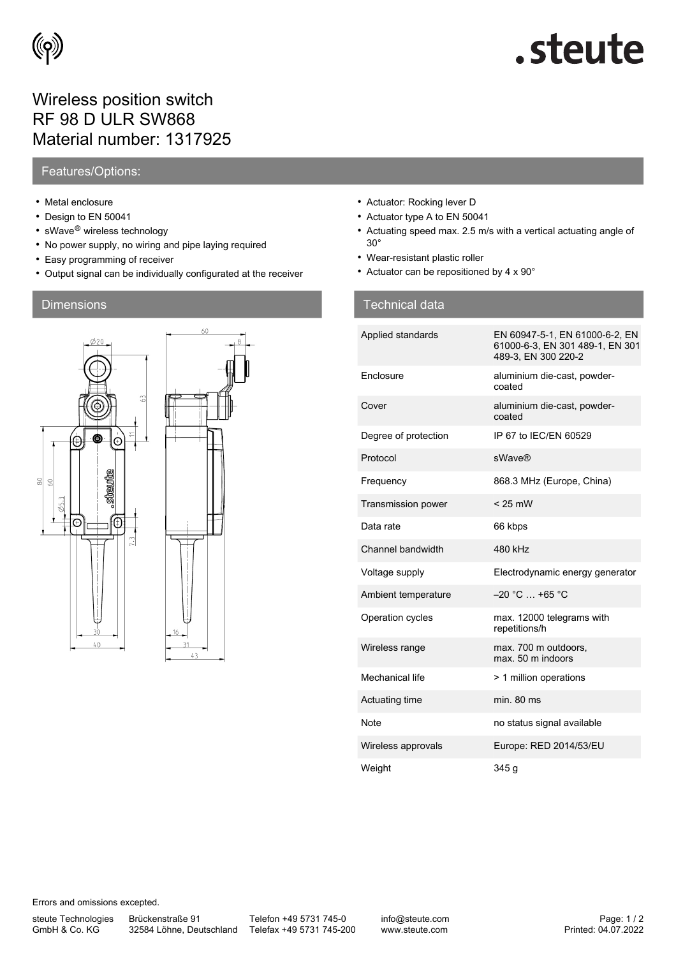

# steute.

## Wireless position switch RF 98 D ULR SW868 Material number: 1317925

### Features/Options:

- Metal enclosure
- Design to EN 50041
- sWave® wireless technology
- No power supply, no wiring and pipe laying required
- Easy programming of receiver
- Output signal can be individually configurated at the receiver



- Actuator: Rocking lever D
- Actuator type A to EN 50041
- Actuating speed max. 2.5 m/s with a vertical actuating angle of 30°
- Wear-resistant plastic roller
- Actuator can be repositioned by 4 x 90°

### Dimensions Technical data and the contract of the contract of the Technical data

| Applied standards    | EN 60947-5-1, EN 61000-6-2, EN<br>61000-6-3, EN 301 489-1, EN 301<br>489-3, EN 300 220-2 |
|----------------------|------------------------------------------------------------------------------------------|
| Enclosure            | aluminium die-cast, powder-<br>coated                                                    |
| Cover                | aluminium die-cast, powder-<br>coated                                                    |
| Degree of protection | IP 67 to IFC/FN 60529                                                                    |
| Protocol             | <b>sWave®</b>                                                                            |
| Frequency            | 868.3 MHz (Europe, China)                                                                |
| Transmission power   | $< 25$ mW                                                                                |
| Data rate            | 66 kbps                                                                                  |
| Channel bandwidth    | 480 kHz                                                                                  |
| Voltage supply       | Electrodynamic energy generator                                                          |
| Ambient temperature  | $-20$ °C $$ +65 °C                                                                       |
| Operation cycles     | max. 12000 telegrams with<br>repetitions/h                                               |
| Wireless range       | max. 700 m outdoors,<br>max. 50 m indoors                                                |
| Mechanical life      | > 1 million operations                                                                   |
| Actuating time       | min. 80 ms                                                                               |
| Note                 | no status signal available                                                               |
| Wireless approvals   | Europe: RED 2014/53/EU                                                                   |
| Weight               | 345 g                                                                                    |

Errors and omissions excepted.

steute Technologies GmbH & Co. KG

Brückenstraße 91

32584 Löhne, Deutschland Telefax +49 5731 745-200 Telefon +49 5731 745-0

info@steute.com